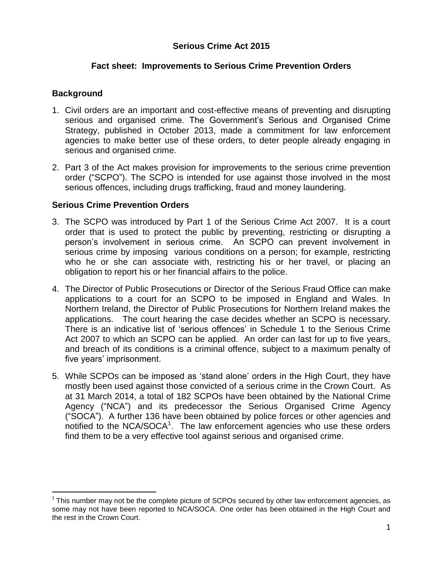# **Serious Crime Act 2015**

#### **Fact sheet: Improvements to Serious Crime Prevention Orders**

#### **Background**

 $\overline{a}$ 

- 1. Civil orders are an important and cost-effective means of preventing and disrupting serious and organised crime. The Government's Serious and Organised Crime Strategy, published in October 2013, made a commitment for law enforcement agencies to make better use of these orders, to deter people already engaging in serious and organised crime.
- 2. Part 3 of the Act makes provision for improvements to the serious crime prevention order ("SCPO"). The SCPO is intended for use against those involved in the most serious offences, including drugs trafficking, fraud and money laundering.

#### **Serious Crime Prevention Orders**

- 3. The SCPO was introduced by Part 1 of the Serious Crime Act 2007. It is a court order that is used to protect the public by preventing, restricting or disrupting a person's involvement in serious crime. An SCPO can prevent involvement in serious crime by imposing various conditions on a person; for example, restricting who he or she can associate with, restricting his or her travel, or placing an obligation to report his or her financial affairs to the police.
- 4. The Director of Public Prosecutions or Director of the Serious Fraud Office can make applications to a court for an SCPO to be imposed in England and Wales. In Northern Ireland, the Director of Public Prosecutions for Northern Ireland makes the applications. The court hearing the case decides whether an SCPO is necessary. There is an indicative list of 'serious offences' in Schedule 1 to the Serious Crime Act 2007 to which an SCPO can be applied. An order can last for up to five years, and breach of its conditions is a criminal offence, subject to a maximum penalty of five years' imprisonment.
- 5. While SCPOs can be imposed as 'stand alone' orders in the High Court, they have mostly been used against those convicted of a serious crime in the Crown Court. As at 31 March 2014, a total of 182 SCPOs have been obtained by the National Crime Agency ("NCA") and its predecessor the Serious Organised Crime Agency ("SOCA"). A further 136 have been obtained by police forces or other agencies and notified to the NCA/SOCA<sup>1</sup>. The law enforcement agencies who use these orders find them to be a very effective tool against serious and organised crime.

 $1$  This number may not be the complete picture of SCPOs secured by other law enforcement agencies, as some may not have been reported to NCA/SOCA. One order has been obtained in the High Court and the rest in the Crown Court.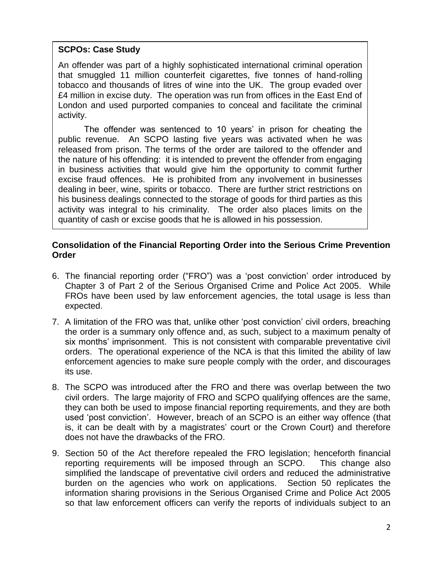# **SCPOs: Case Study**

An offender was part of a highly sophisticated international criminal operation that smuggled 11 million counterfeit cigarettes, five tonnes of hand-rolling tobacco and thousands of litres of wine into the UK. The group evaded over £4 million in excise duty. The operation was run from offices in the East End of London and used purported companies to conceal and facilitate the criminal activity.

The offender was sentenced to 10 years' in prison for cheating the public revenue. An SCPO lasting five years was activated when he was released from prison. The terms of the order are tailored to the offender and the nature of his offending: it is intended to prevent the offender from engaging in business activities that would give him the opportunity to commit further excise fraud offences. He is prohibited from any involvement in businesses dealing in beer, wine, spirits or tobacco. There are further strict restrictions on his business dealings connected to the storage of goods for third parties as this activity was integral to his criminality. The order also places limits on the quantity of cash or excise goods that he is allowed in his possession.

# **Consolidation of the Financial Reporting Order into the Serious Crime Prevention Order**

- 6. The financial reporting order ("FRO") was a 'post conviction' order introduced by Chapter 3 of Part 2 of the Serious Organised Crime and Police Act 2005. While FROs have been used by law enforcement agencies, the total usage is less than expected.
- 7. A limitation of the FRO was that, unlike other 'post conviction' civil orders, breaching the order is a summary only offence and, as such, subject to a maximum penalty of six months' imprisonment. This is not consistent with comparable preventative civil orders. The operational experience of the NCA is that this limited the ability of law enforcement agencies to make sure people comply with the order, and discourages its use.
- 8. The SCPO was introduced after the FRO and there was overlap between the two civil orders. The large majority of FRO and SCPO qualifying offences are the same, they can both be used to impose financial reporting requirements, and they are both used 'post conviction'. However, breach of an SCPO is an either way offence (that is, it can be dealt with by a magistrates' court or the Crown Court) and therefore does not have the drawbacks of the FRO.
- 9. Section 50 of the Act therefore repealed the FRO legislation; henceforth financial reporting requirements will be imposed through an SCPO. This change also simplified the landscape of preventative civil orders and reduced the administrative burden on the agencies who work on applications. Section 50 replicates the information sharing provisions in the Serious Organised Crime and Police Act 2005 so that law enforcement officers can verify the reports of individuals subject to an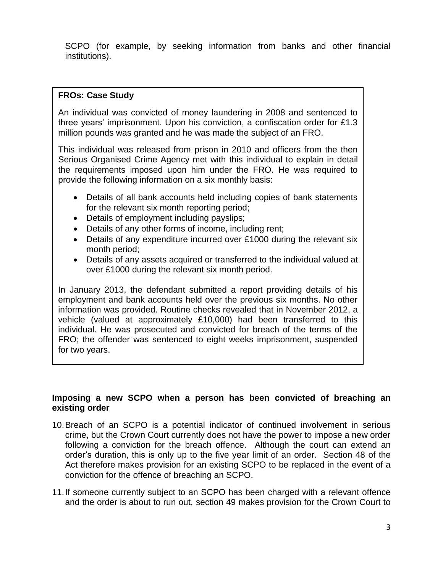SCPO (for example, by seeking information from banks and other financial institutions).

# **FROs: Case Study**

An individual was convicted of money laundering in 2008 and sentenced to three years' imprisonment. Upon his conviction, a confiscation order for £1.3 million pounds was granted and he was made the subject of an FRO.

This individual was released from prison in 2010 and officers from the then Serious Organised Crime Agency met with this individual to explain in detail the requirements imposed upon him under the FRO. He was required to provide the following information on a six monthly basis:

- Details of all bank accounts held including copies of bank statements for the relevant six month reporting period;
- Details of employment including payslips;
- Details of any other forms of income, including rent;
- Details of any expenditure incurred over £1000 during the relevant six month period;
- Details of any assets acquired or transferred to the individual valued at over £1000 during the relevant six month period.

In January 2013, the defendant submitted a report providing details of his employment and bank accounts held over the previous six months. No other information was provided. Routine checks revealed that in November 2012, a vehicle (valued at approximately £10,000) had been transferred to this individual. He was prosecuted and convicted for breach of the terms of the FRO; the offender was sentenced to eight weeks imprisonment, suspended for two years.

#### **Imposing a new SCPO when a person has been convicted of breaching an existing order**

- 10.Breach of an SCPO is a potential indicator of continued involvement in serious crime, but the Crown Court currently does not have the power to impose a new order following a conviction for the breach offence. Although the court can extend an order's duration, this is only up to the five year limit of an order. Section 48 of the Act therefore makes provision for an existing SCPO to be replaced in the event of a conviction for the offence of breaching an SCPO.
- 11.If someone currently subject to an SCPO has been charged with a relevant offence and the order is about to run out, section 49 makes provision for the Crown Court to